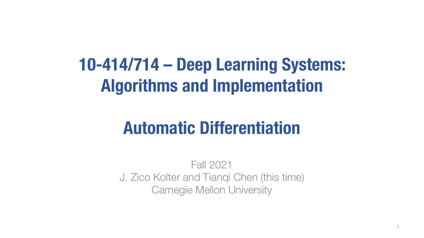# **10-414/714 – Deep Learning Systems: Algorithms and Implementation**

## **Automatic Differentiation**

Fall 2021 J. Zico Kolter and Tianqi Chen (this time) Carnegie Mellon University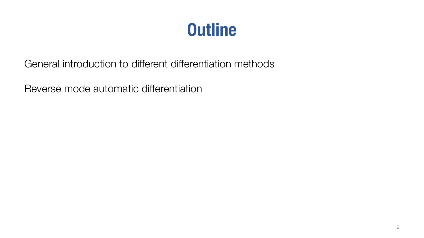## **Outline**

General introduction to different differentiation methods

Reverse mode automatic differentiation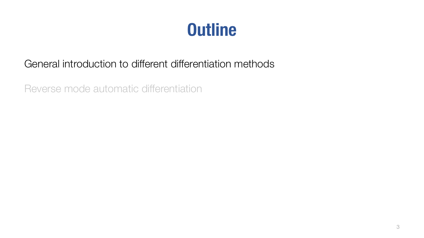## **Outline**

#### General introduction to different differentiation methods

Reverse mode automatic differentiation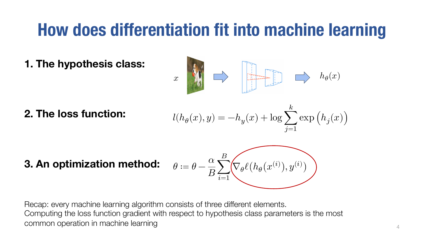## **How does differentiation fit into machine learning**

**1. The hypothesis class:** 

**2. The loss function:** 

$$
x \longrightarrow \boxed{\frac{1}{k}} \longrightarrow h_{\theta}(x)
$$

$$
l(h_{\theta}(x), y) = -h_y(x) + \log \sum_{j=1}^{k} \exp \left( h_j(x) \right)
$$

**3. An optimization method:** 

$$
\theta \coloneqq \theta - \frac{\alpha}{B}\!\sum_{i=1}^B\!\!\left(\!\!\!\!\!\!\nabla_\theta\ell\big(h_\theta\big(x^{(i)}\big),y^{(i)}\big)\!\!\!\!\!\right)
$$

Recap: every machine learning algorithm consists of three different elements. Computing the loss function gradient with respect to hypothesis class parameters is the most common operation in machine learning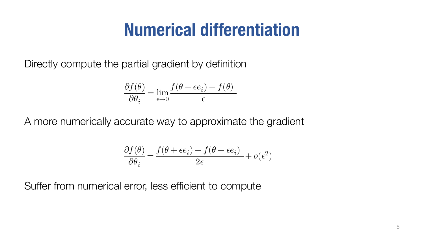## **Numerical differentiation**

Directly compute the partial gradient by definition

$$
\frac{\partial f(\theta)}{\partial \theta_i} = \lim_{\epsilon \rightarrow 0} \frac{f(\theta + \epsilon e_i) - f(\theta)}{\epsilon}
$$

A more numerically accurate way to approximate the gradient

$$
\frac{\partial f(\theta)}{\partial \theta_i} = \frac{f(\theta + \epsilon e_i) - f(\theta - \epsilon e_i)}{2\epsilon} + o(\epsilon^2)
$$

Suffer from numerical error, less efficient to compute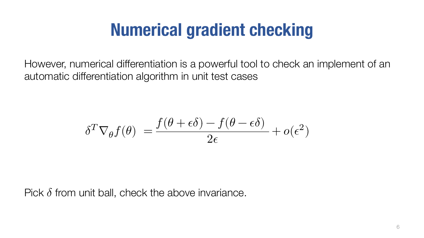## **Numerical gradient checking**

However, numerical differentiation is a powerful tool to check an implement of an automatic differentiation algorithm in unit test cases

$$
\delta^T \nabla_{\theta} f(\theta) = \frac{f(\theta + \epsilon \delta) - f(\theta - \epsilon \delta)}{2\epsilon} + o(\epsilon^2)
$$

Pick  $\delta$  from unit ball, check the above invariance.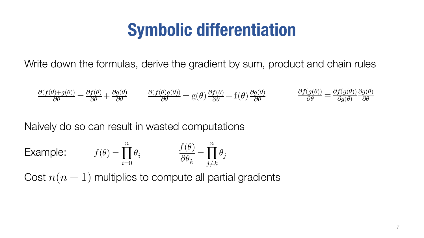## **Symbolic differentiation**

Write down the formulas, derive the gradient by sum, product and chain rules

$$
\frac{\partial (f(\theta)+g(\theta))}{\partial \theta}=\frac{\partial f(\theta)}{\partial \theta}+\frac{\partial g(\theta)}{\partial \theta} \qquad \frac{\partial (f(\theta)g(\theta))}{\partial \theta}=g(\theta)\frac{\partial f(\theta)}{\partial \theta}+f(\theta)\frac{\partial g(\theta)}{\partial \theta} \qquad \frac{\partial f(g(\theta))}{\partial \theta}=\frac{\partial f(g(\theta))}{\partial g(\theta)}\frac{\partial g(\theta)}{\partial \theta}
$$

Naively do so can result in wasted computations

**Example:** 
$$
f(\theta) = \prod_{i=0}^{n} \theta_i
$$
  $\qquad \qquad \frac{f(\theta)}{\partial \theta_k} = \prod_{j \neq k}^{n} \theta_j$ 

Cost  $n(n - 1)$  multiplies to compute all partial gradients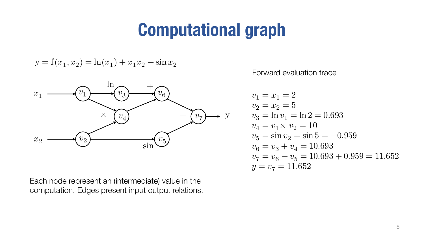## **Computational graph**

$$
y = f(x_1, x_2) = \ln(x_1) + x_1 x_2 - \sin x_2
$$



Each node represent an (intermediate) value in the computation. Edges present input output relations. Forward evaluation trace

$$
v_1 = x_1 = 2
$$
  
\n
$$
v_2 = x_2 = 5
$$
  
\n
$$
v_3 = \ln v_1 = \ln 2 = 0.693
$$
  
\n
$$
v_4 = v_1 \times v_2 = 10
$$
  
\n
$$
v_5 = \sin v_2 = \sin 5 = -0.959
$$
  
\n
$$
v_6 = v_3 + v_4 = 10.693
$$
  
\n
$$
v_7 = v_6 - v_5 = 10.693 + 0.959 = 11.652
$$
  
\n
$$
y = v_7 = 11.652
$$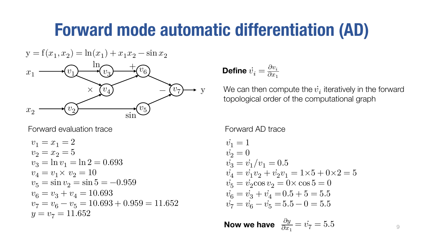#### **Forward mode automatic differentiation (AD)**

$$
y = f(x_1, x_2) = \ln(x_1) + x_1 x_2 - \sin x_2
$$
  

$$
x_1 \longrightarrow \underbrace{(v_1)}_{\sqrt{v_2}} \longrightarrow \underbrace{(v_3)}_{\sqrt{v_4}} \longrightarrow \underbrace{(v_5)}_{\sin}
$$
  

$$
y = \underbrace{(v_7)}_{\sqrt{v_1}} \longrightarrow y
$$

Forward evaluation trace

$$
v_1 = x_1 = 2
$$
  
\n
$$
v_2 = x_2 = 5
$$
  
\n
$$
v_3 = \ln v_1 = \ln 2 = 0.693
$$
  
\n
$$
v_4 = v_1 \times v_2 = 10
$$
  
\n
$$
v_5 = \sin v_2 = \sin 5 = -0.959
$$
  
\n
$$
v_6 = v_3 + v_4 = 10.693
$$
  
\n
$$
v_7 = v_6 - v_5 = 10.693 + 0.959 = 11.652
$$
  
\n
$$
y = v_7 = 11.652
$$

**Define** 
$$
\dot{v}_i = \frac{\partial v_i}{\partial x_1}
$$

We can then compute the  $\dot{v_i}$  iteratively in the forward topological order of the computational graph

Forward AD trace

$$
\begin{array}{l} \dot{v_1} = 1\\ \dot{v_2} = 0\\ \dot{v_3} = \dot{v_1}/v_1 = 0.5\\ \dot{v_4} = \dot{v_1}v_2 + \dot{v_2}v_1 = 1 \times 5 + 0 \times 2 = 5\\ \dot{v_5} = \dot{v_2} \cos v_2 = 0 \times \cos 5 = 0\\ \dot{v_6} = \dot{v_3} + \dot{v_4} = 0.5 + 5 = 5.5\\ \dot{v_7} = \dot{v_6} - \dot{v_5} = 5.5 - 0 = 5.5 \end{array}
$$

 $\partial y$  $\partial x_1$ Now we have  $\frac{\partial y}{\partial x_1} = \dot{v_7} = 5.5$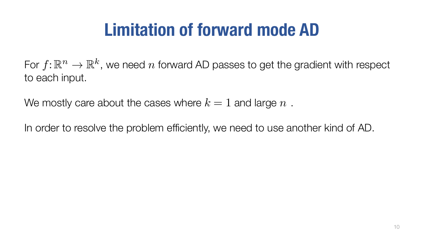# **Limitation of forward mode AD**

For  $f: \mathbb{R}^n \to \mathbb{R}^k$ , we need n forward AD passes to get the gradient with respect to each input.

We mostly care about the cases where  $k=1$  and large  $n$ .

In order to resolve the problem efficiently, we need to use another kind of AD.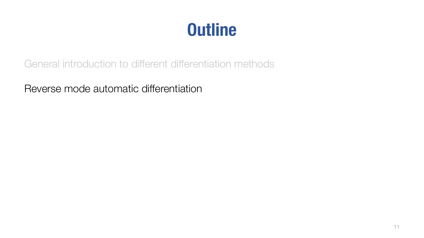## **Outline**

General introduction to different differentiation methods

Reverse mode automatic differentiation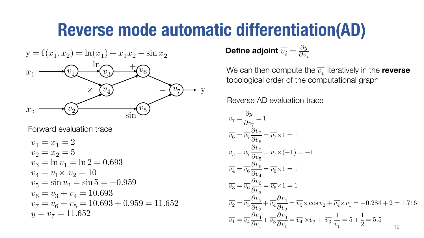## **Reverse mode automatic differentiation(AD)**

$$
{\bf y} = {\bf f}(x_1,x_2) = \ln(x_1) + x_1x_2 - \sin x_2
$$



Forward evaluation trace

$$
v_1 = x_1 = 2\n v_2 = x_2 = 5\n v_3 = \ln v_1 = \ln 2 = 0.693\n v_4 = v_1 \times v_2 = 10\n v_5 = \sin v_2 = \sin 5 = -0.959\n v_6 = v_3 + v_4 = 10.693\n v_7 = v_6 - v_5 = 10.693 + 0.959 = 11.652\n y = v_7 = 11.652
$$

Define adjoint  $\overline{v_i} = \frac{\partial y}{\partial v_i}$ 

We can then compute the  $\overline{v_i}$  iteratively in the **reverse** topological order of the computational graph

Reverse AD evaluation trace

$$
\overline{v_7} = \frac{\partial y}{\partial v_7} = 1
$$
\n
$$
\overline{v_6} = \overline{v_7} \frac{\partial v_7}{\partial v_6} = \overline{v_7} \times 1 = 1
$$
\n
$$
\overline{v_5} = \overline{v_7} \frac{\partial v_7}{\partial v_5} = \overline{v_7} \times (-1) = -1
$$
\n
$$
\overline{v_4} = \overline{v_6} \frac{\partial v_6}{\partial v_4} = \overline{v_6} \times 1 = 1
$$
\n
$$
\overline{v_3} = \overline{v_6} \frac{\partial v_6}{\partial v_3} = \overline{v_6} \times 1 = 1
$$
\n
$$
\overline{v_2} = \overline{v_5} \frac{\partial v_5}{\partial v_2} + \overline{v_4} \frac{\partial v_4}{\partial v_2} = \overline{v_5} \times \cos v_2 + \overline{v_4} \times v_1 = -0.284 + 2 = 1.716
$$
\n
$$
\overline{v_1} = \overline{v_4} \frac{\partial v_4}{\partial v_1} + \overline{v_3} \frac{\partial v_3}{\partial v_1} = \overline{v_4} \times v_2 + \overline{v_3} \frac{1}{v_1} = 5 + \frac{1}{2} = 5.5
$$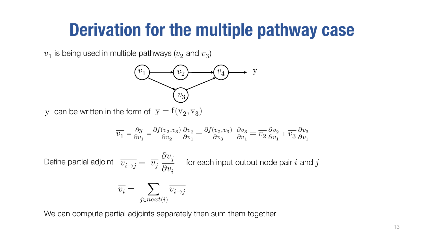#### **Derivation for the multiple pathway case**

 $v_1$  is being used in multiple pathways ( $v_2$  and  $v_3$ )



y can be written in the form of  $y = f(v_2, v_3)$ 

$$
\overline{v_1}=\frac{\partial y}{\partial v_1}=\frac{\partial f(v_2,v_3)}{\partial v_2}\frac{\partial v_2}{\partial v_1}+\frac{\partial f(v_2,v_3)}{\partial v_3}\ \frac{\partial v_3}{\partial v_1}=\overline{v_2}\frac{\partial v_2}{\partial v_1}+\overline{v_3}\frac{\partial v_3}{\partial v_1}
$$

Define partial adjoint  $\overline{v_{i\to j}} = \overline{v_j}$  $\partial v_j$  $\partial v_i$ for each input output node pair  $i$  and  $j$ 

$$
\overline{v_i} = \sum_{j \in next(i)} \overline{v_{i \to j}}
$$

We can compute partial adjoints separately then sum them together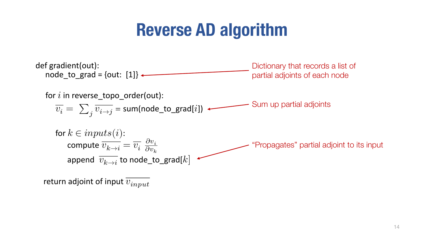## **Reverse AD algorithm**



return adjoint of input  $\overline{v_{input}}$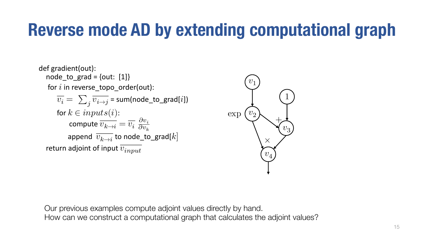```
def gradient(out):
   node_to_grad = \{out: [1]\}for i in reverse_topo_order(out):
        \overline{v_i} = \sum_i \overline{v_{i \to j}} = sum(node_to_grad[i])
         for k \in inputs(i):
               compute \overline{v_{k\to i}}=\overline{v_i}\ \frac{\partial v_i}{\partial v_k}\partial v_kappend \overline{v_{k\rightarrow i}} to node_to_grad[k]
   return adjoint of input \overline{v_{input}}
```


Our previous examples compute adjoint values directly by hand. How can we construct a computational graph that calculates the adjoint values?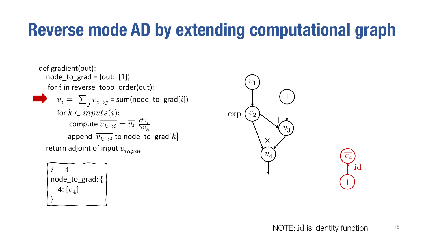```
\ndef gradient(out):\n    node_to_grad = \{out: [1]\}\n    for i in reverse_topo-order(out):\n    
$$
\overline{v_i} = \sum_j \overline{v_{i \to j}} = \text{sum(node_to_grad}[i])
$$
\n    for 
$$
k \in inputs(i):\n    \text{compute } \overline{v_{k \to i}} = \overline{v_i} \frac{\partial v_i}{\partial v_k}
$$
\n    append  $\overline{v_{k \to i}}$  to node_to_grad[k]\n    return adjoint of input  $\overline{v_{input}}$ \n
```

$$
\begin{array}{|l|} \hline i=4 \\ \hline \text{node_to_grad:} \{ \\ 4: \overline{[v_4]} \\ \hline \end{array}
$$



id

1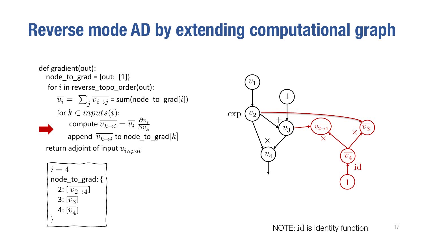def gradient(out):  $node_to_grad = \{out: [1]\}$ for  $i$  in reverse\_topo\_order(out):  $\overline{v_i} = \sum_i \overline{v_{i \to j}}$  = sum(node\_to\_grad[*i*]) for  $k \in inputs(i)$ : compute  $\overline{v_{k\to i}}=\overline{v_i}\ \frac{\partial v_i}{\partial v_k}$  $\partial v_k$ append  $\overline{v_{k\rightarrow i}}$  to node\_to\_grad[k] return adjoint of input  $\overline{v_{input}}$ 

$$
i = 4
$$
  
\nnode\_to\_grad: {\n2:  $\overline{v_{2\rightarrow 4}}$  }  
\n3:  $\overline{v_3}$  }  
\n4:  $\overline{v_4}$  }

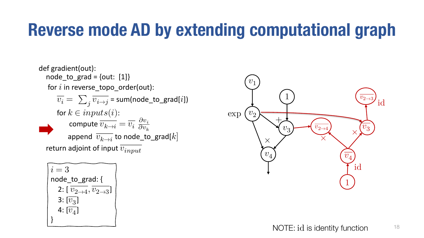def gradient(out):  $node_to_grad = \{out: [1]\}$ for  $i$  in reverse\_topo\_order(out):  $\overline{v_i} = \sum_i \overline{v_{i \to j}}$  = sum(node\_to\_grad[*i*]) for  $k \in inputs(i)$ : compute  $\overline{v_{k\to i}}=\overline{v_i}\ \frac{\partial v_i}{\partial v_k}$  $\partial v_k$ append  $\overline{v_{k\rightarrow i}}$  to node\_to\_grad[k] return adjoint of input  $\overline{v_{input}}$ 

$$
\begin{array}{|l|} \hline i=3\\ \hline\nnode_to_grad: {\{ \atop 2: [\frac{v_{2\to 4}}{v_{2\to 3}}, \frac{v_{2\to 3}}{v_{2\to 3}} ]} \\
3: [\overline{v_3}] \\
4: [\overline{v_4}] \\
\end{array}
$$

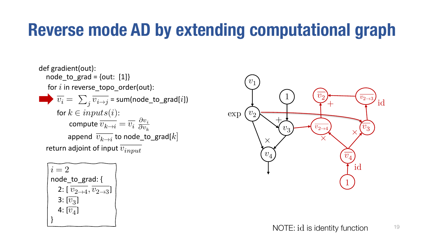```
\ndef gradient(out):\n    node_to_grad = \{out: [1]\}\n    for i in reverse_topo-order(out):\n        
$$
\overline{v_i} = \sum_j \overline{v_{i \to j}} = \text{sum}(node_to_grad[i])
$$
\n    for  $k \in inputs(i):$ \n        compute  $\overline{v_{k \to i}} = \overline{v_i} \frac{\partial v_i}{\partial v_k}$ \n        append  $\overline{v_{k \to i}}$  to node_to_grad[k]\n    return adjoint of input  $\overline{v_{input}}$ \n
```

$$
\begin{bmatrix}\ni = 2 \\
\text{node_to_grad:} \{ \\
2: [\overline{v_{2\rightarrow 4}}, \overline{v_{2\rightarrow 3}}] \\
3: [\overline{v_3}] \\
4: [\overline{v_4}] \\
\end{bmatrix}
$$

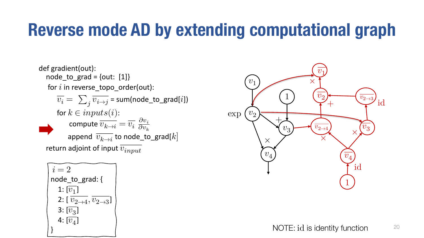def gradient(out):  $node_to_grad = \{out: [1]\}$ for  $i$  in reverse\_topo\_order(out):  $\overline{v_i} = \sum_i \overline{v_{i \to j}}$  = sum(node\_to\_grad[*i*]) for  $k \in inputs(i)$ : compute  $\overline{v_{k\to i}}=\overline{v_i}\ \frac{\partial v_i}{\partial v_k}$  $\partial v_k$ append  $\overline{v_{k\rightarrow i}}$  to node\_to\_grad[k] return adjoint of input  $\overline{v_{input}}$ 

$$
\begin{array}{|l|} \hline i=2\\\text{node_to_grad:} \{ \\ 1: [\overline{v_1}] \\ 2: [\,\overline{v_2}_{\rightarrow 4}, \, \overline{v_2}_{\rightarrow 3}]\\\ 3: [\overline{v_3}] \\ 4: [\overline{v_4}] \\ \hline \end{array}
$$

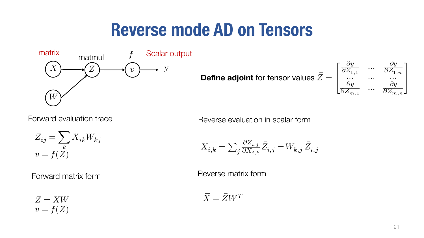#### **Reverse mode AD on Tensors**



$$
Z_{ij} = \sum_{k} X_{ik} W_{kj}
$$
  

$$
v = f(Z)
$$

Forward matrix form

 $Z= XW$  $v = f(Z)$ 

**Define adjoint for tensor values** 
$$
\bar{Z} = \begin{bmatrix} \frac{\partial y}{\partial Z_{1,1}} & \cdots & \frac{\partial y}{\partial Z_{1,n}} \\ \cdots & \cdots & \cdots \\ \frac{\partial y}{\partial Z_{m,1}} & \cdots & \frac{\partial y}{\partial Z_{m,n}} \end{bmatrix}
$$

Forward evaluation trace The Reverse evaluation in scalar form

$$
\overline{X_{i,k}}=\textstyle\sum_{j}\frac{\partial Z_{i,j}}{\partial X_{i,k}}\bar{Z}_{i,j}=W_{k,j}\,\bar{Z}_{i,j}
$$

Reverse matrix form

 $\overline{X} = \overline{Z} W^T$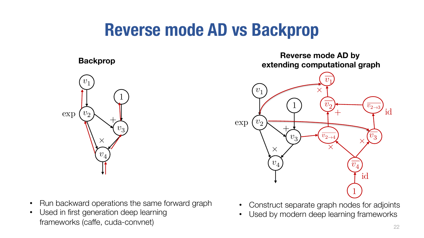## **Reverse mode AD vs Backprop**



- Run backward operations the same forward graph
- Used in first generation deep learning frameworks (caffe, cuda-convnet)

**Backprop Reverse mode AD by extending computational graph**



- Construct separate graph nodes for adjoints
- Used by modern deep learning frameworks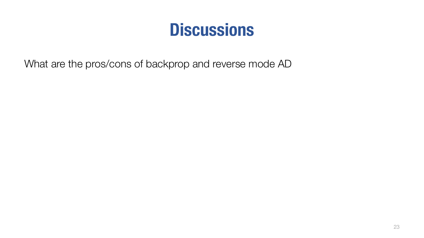## **Discussions**

What are the pros/cons of backprop and reverse mode AD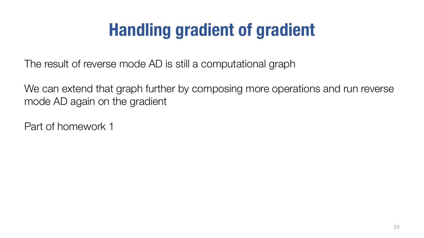# **Handling gradient of gradient**

The result of reverse mode AD is still a computational graph

We can extend that graph further by composing more operations and run reverse mode AD again on the gradient

Part of homework 1